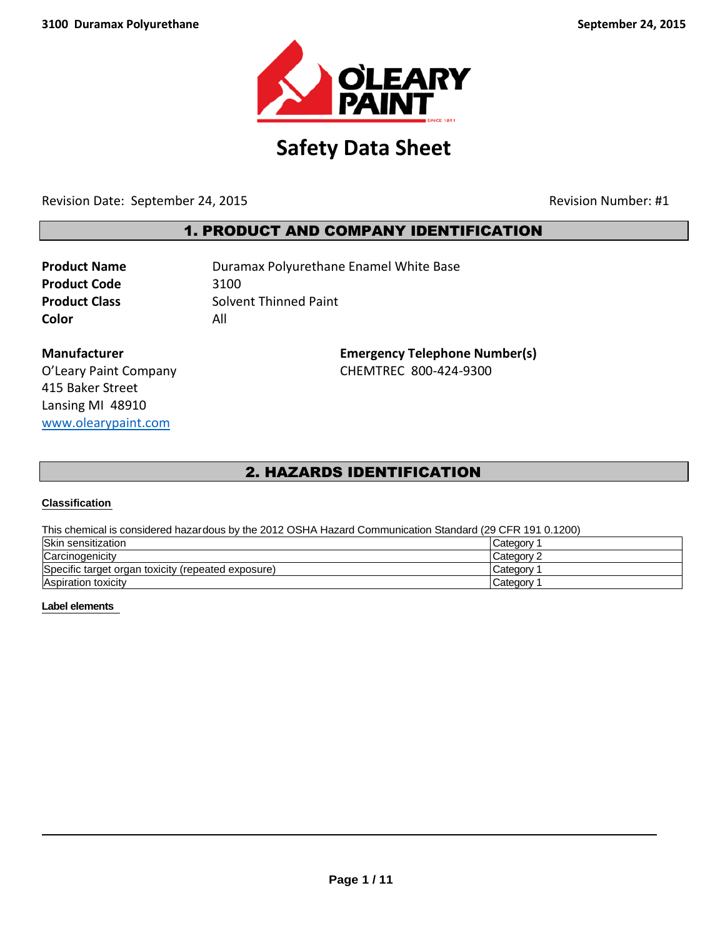

# **Safety Data Sheet**

Revision Date: September 24, 2015 and the set of the set of the Revision Number: #1

## 1. PRODUCT AND COMPANY IDENTIFICATION

**Product Code** 3100 **Color** All

**Product Name Duramax Polyurethane Enamel White Base Product Class** Solvent Thinned Paint

415 Baker Street Lansing MI 48910 [www.olearypaint.com](http://www.olearypaint.com/)

**Manufacturer Emergency Telephone Number(s)** O'Leary Paint Company **CHEMTREC 800-424-9300** 

## 2. HAZARDS IDENTIFICATION

#### **Classification**

This chemical is considered hazardous by the 2012 OSHA Hazard Communication Standard (29 CFR 191 0.1200)

| Skin sensitization                                 | Category   |
|----------------------------------------------------|------------|
| Carcinogenicity                                    | Category 2 |
| Specific target organ toxicity (repeated exposure) | Category   |
| <b>Aspiration toxicity</b>                         | Category   |

#### **Label elements**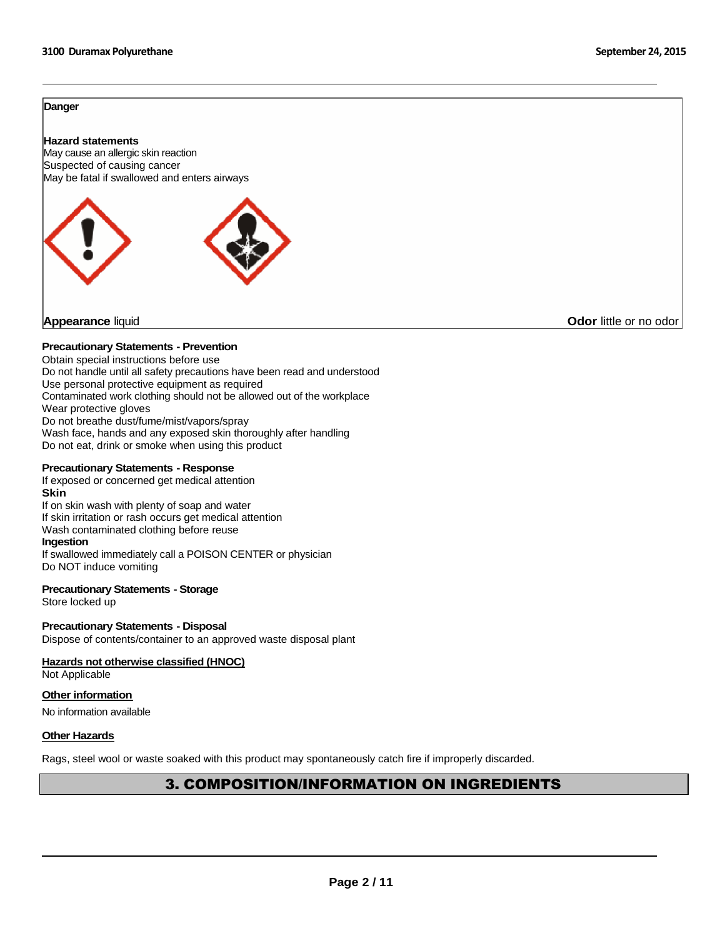#### **Danger**

#### **Hazard statements**



**Appearance** liquid **Odor** little or no odor

#### **Precautionary Statements - Prevention**

Obtain special instructions before use Do not handle until all safety precautions have been read and understood Use personal protective equipment as required Contaminated work clothing should not be allowed out of the workplace Wear protective gloves Do not breathe dust/fume/mist/vapors/spray Wash face, hands and any exposed skin thoroughly after handling Do not eat, drink or smoke when using this product

#### **Precautionary Statements - Response**

If exposed or concerned get medical attention **Skin** If on skin wash with plenty of soap and water If skin irritation or rash occurs get medical attention Wash contaminated clothing before reuse **Ingestion** If swallowed immediately call a POISON CENTER or physician Do NOT induce vomiting

#### **Precautionary Statements - Storage**

Store locked up

#### **Precautionary Statements - Disposal**

Dispose of contents/container to an approved waste disposal plant

#### **Hazards not otherwise classified (HNOC)**

Not Applicable

### **Other information**

No information available

#### **Other Hazards**

Rags, steel wool or waste soaked with this product may spontaneously catch fire if improperly discarded.

## 3. COMPOSITION/INFORMATION ON INGREDIENTS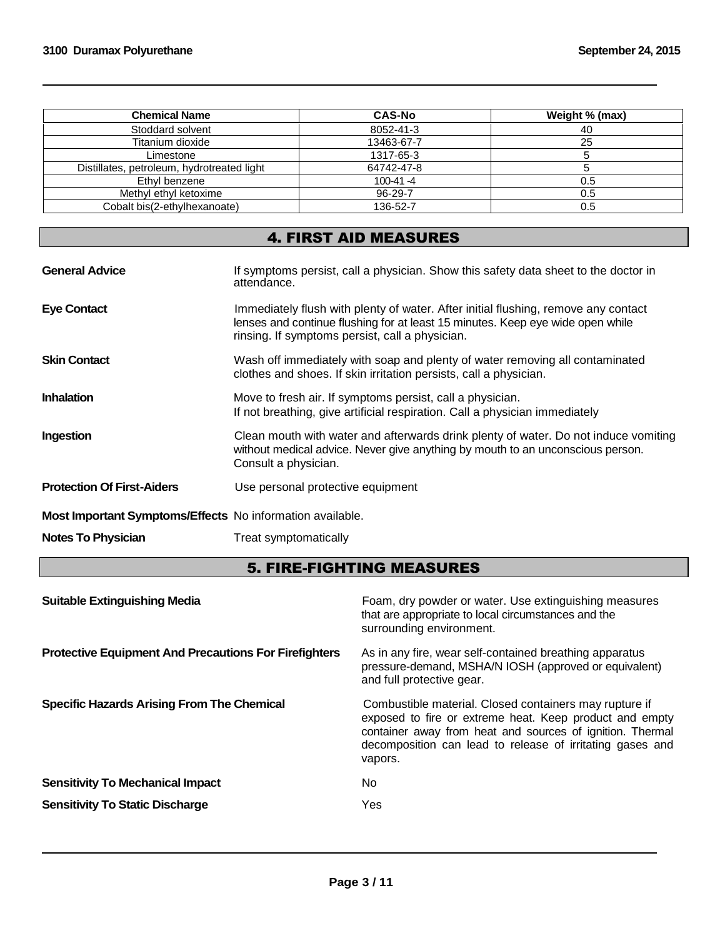| <b>Chemical Name</b>                       | <b>CAS-No</b> | Weight % (max) |
|--------------------------------------------|---------------|----------------|
| Stoddard solvent                           | 8052-41-3     | 40             |
| Titanium dioxide                           | 13463-67-7    | 25             |
| Limestone                                  | 1317-65-3     |                |
| Distillates, petroleum, hydrotreated light | 64742-47-8    |                |
| Ethyl benzene                              | $100-41 - 4$  | 0.5            |
| Methyl ethyl ketoxime                      | 96-29-7       | 0.5            |
| Cobalt bis(2-ethylhexanoate)               | 136-52-7      | 0.5            |

## 4. FIRST AID MEASURES

| <b>General Advice</b>                                     | If symptoms persist, call a physician. Show this safety data sheet to the doctor in<br>attendance.                                                                                                                      |
|-----------------------------------------------------------|-------------------------------------------------------------------------------------------------------------------------------------------------------------------------------------------------------------------------|
| <b>Eye Contact</b>                                        | Immediately flush with plenty of water. After initial flushing, remove any contact<br>lenses and continue flushing for at least 15 minutes. Keep eye wide open while<br>rinsing. If symptoms persist, call a physician. |
| <b>Skin Contact</b>                                       | Wash off immediately with soap and plenty of water removing all contaminated<br>clothes and shoes. If skin irritation persists, call a physician.                                                                       |
| <b>Inhalation</b>                                         | Move to fresh air. If symptoms persist, call a physician.<br>If not breathing, give artificial respiration. Call a physician immediately                                                                                |
| Ingestion                                                 | Clean mouth with water and afterwards drink plenty of water. Do not induce vomiting<br>without medical advice. Never give anything by mouth to an unconscious person.<br>Consult a physician.                           |
| <b>Protection Of First-Aiders</b>                         | Use personal protective equipment                                                                                                                                                                                       |
| Most Important Symptoms/Effects No information available. |                                                                                                                                                                                                                         |
| <b>Notes To Physician</b>                                 | Treat symptomatically                                                                                                                                                                                                   |

## 5. FIRE-FIGHTING MEASURES

| <b>Suitable Extinguishing Media</b>                          | Foam, dry powder or water. Use extinguishing measures<br>that are appropriate to local circumstances and the<br>surrounding environment.                                                                                                               |
|--------------------------------------------------------------|--------------------------------------------------------------------------------------------------------------------------------------------------------------------------------------------------------------------------------------------------------|
| <b>Protective Equipment And Precautions For Firefighters</b> | As in any fire, wear self-contained breathing apparatus<br>pressure-demand, MSHA/N IOSH (approved or equivalent)<br>and full protective gear.                                                                                                          |
| <b>Specific Hazards Arising From The Chemical</b>            | Combustible material. Closed containers may rupture if<br>exposed to fire or extreme heat. Keep product and empty<br>container away from heat and sources of ignition. Thermal<br>decomposition can lead to release of irritating gases and<br>vapors. |
| <b>Sensitivity To Mechanical Impact</b>                      | No.                                                                                                                                                                                                                                                    |
| <b>Sensitivity To Static Discharge</b>                       | Yes                                                                                                                                                                                                                                                    |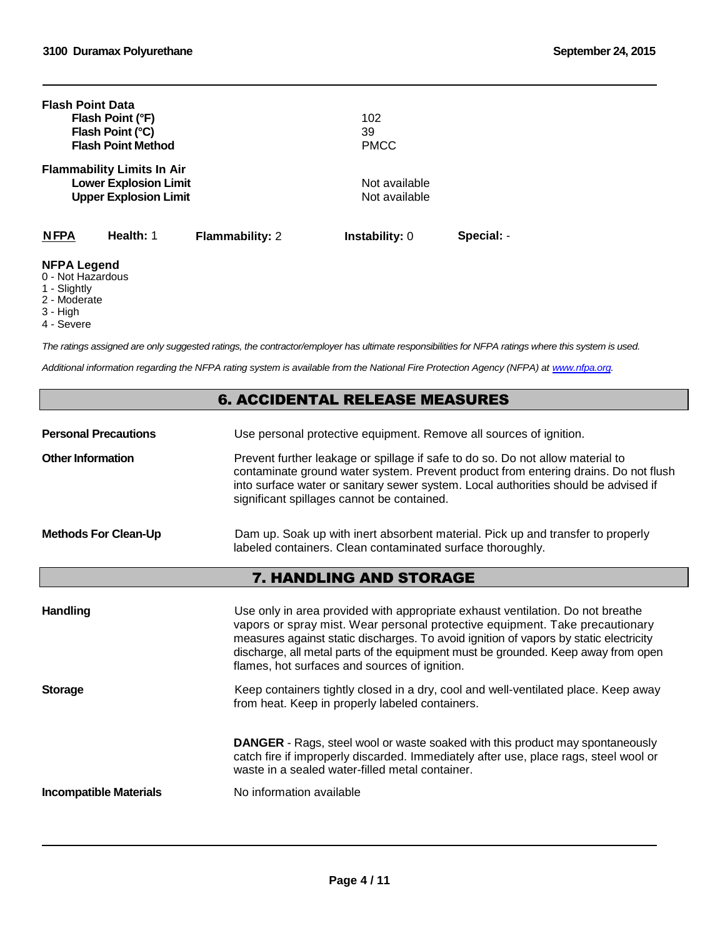| <b>Flash Point Data</b>                 | Flash Point (°F)<br>Flash Point (°C)<br><b>Flash Point Method</b>                                 |                        | 102<br>39<br><b>PMCC</b>       |            |
|-----------------------------------------|---------------------------------------------------------------------------------------------------|------------------------|--------------------------------|------------|
|                                         | <b>Flammability Limits In Air</b><br><b>Lower Explosion Limit</b><br><b>Upper Explosion Limit</b> |                        | Not available<br>Not available |            |
| <b>NFPA</b>                             | Health: 1                                                                                         | <b>Flammability: 2</b> | <b>Instability: 0</b>          | Special: - |
| <b>NFPA Legend</b><br>0 - Not Hazardous |                                                                                                   |                        |                                |            |

1 - Slightly

2 - Moderate

- 3 High
- 4 Severe

*The ratings assigned are only suggested ratings, the contractor/employer has ultimate responsibilities for NFPA ratings where this system is used.*

*Additional information regarding the NFPA rating system is available from the National Fire Protection Agency (NFPA) at [www.nfpa.org](http://www.nfpa.org/).*

### 6. ACCIDENTAL RELEASE MEASURES

**Personal Precautions** Use personal protective equipment. Remove all sources of ignition.

**Other Information** Prevent further leakage or spillage if safe to do so. Do not allow material to contaminate ground water system. Prevent product from entering drains. Do not flush into surface water or sanitary sewer system. Local authorities should be advised if significant spillages cannot be contained.

#### **Methods For Clean-Up** Dam up. Soak up with inert absorbent material. Pick up and transfer to properly labeled containers. Clean contaminated surface thoroughly.

### 7. HANDLING AND STORAGE

| <b>Handling</b>               | Use only in area provided with appropriate exhaust ventilation. Do not breathe<br>vapors or spray mist. Wear personal protective equipment. Take precautionary<br>measures against static discharges. To avoid ignition of vapors by static electricity<br>discharge, all metal parts of the equipment must be grounded. Keep away from open<br>flames, hot surfaces and sources of ignition. |
|-------------------------------|-----------------------------------------------------------------------------------------------------------------------------------------------------------------------------------------------------------------------------------------------------------------------------------------------------------------------------------------------------------------------------------------------|
| <b>Storage</b>                | Keep containers tightly closed in a dry, cool and well-ventilated place. Keep away<br>from heat. Keep in properly labeled containers.                                                                                                                                                                                                                                                         |
|                               | <b>DANGER</b> - Rags, steel wool or waste soaked with this product may spontaneously<br>catch fire if improperly discarded. Immediately after use, place rags, steel wool or<br>waste in a sealed water-filled metal container.                                                                                                                                                               |
| <b>Incompatible Materials</b> | No information available                                                                                                                                                                                                                                                                                                                                                                      |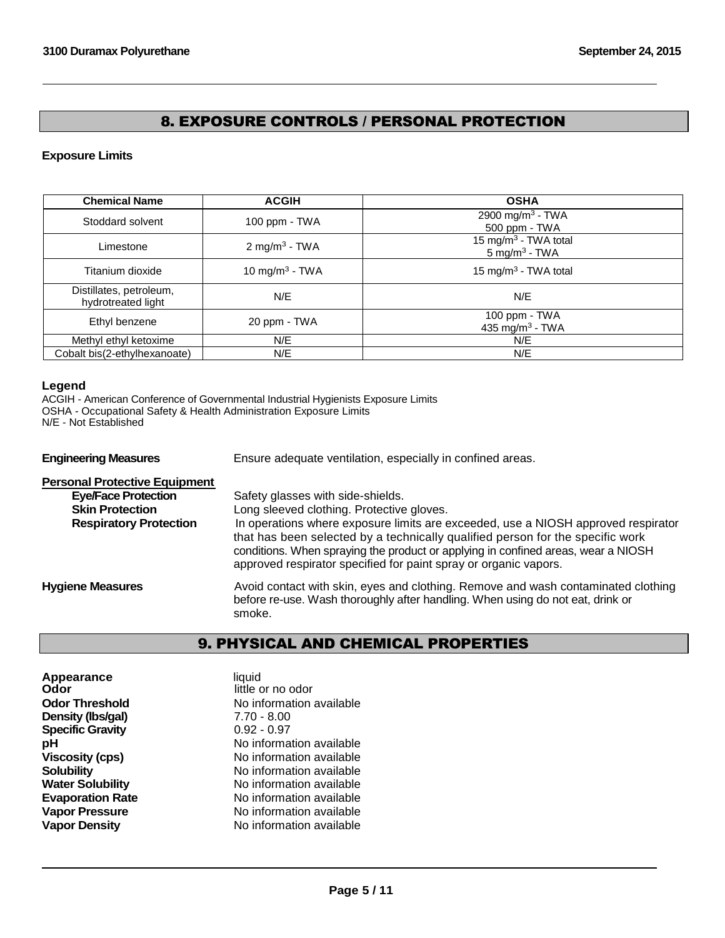## 8. EXPOSURE CONTROLS / PERSONAL PROTECTION

### **Exposure Limits**

| <b>Chemical Name</b>                          | <b>ACGIH</b>               | <b>OSHA</b>                                                  |
|-----------------------------------------------|----------------------------|--------------------------------------------------------------|
| Stoddard solvent                              | 100 ppm - TWA              | 2900 mg/m <sup>3</sup> - TWA<br>500 ppm - TWA                |
| Limestone                                     | 2 mg/m <sup>3</sup> - TWA  | 15 mg/m <sup>3</sup> - TWA total<br>$5 \text{ mg/m}^3$ - TWA |
| Titanium dioxide                              | 10 mg/m <sup>3</sup> - TWA | 15 mg/m <sup>3</sup> - TWA total                             |
| Distillates, petroleum,<br>hydrotreated light | N/E                        | N/E                                                          |
| Ethyl benzene                                 | 20 ppm - TWA               | 100 ppm - $TWA$<br>435 mg/m <sup>3</sup> - TWA               |
| Methyl ethyl ketoxime                         | N/E                        | N/E                                                          |
| Cobalt bis(2-ethylhexanoate)                  | N/E                        | N/E                                                          |

### **Legend**

ACGIH - American Conference of Governmental Industrial Hygienists Exposure Limits OSHA - Occupational Safety & Health Administration Exposure Limits N/E - Not Established

**Engineering Measures** Ensure adequate ventilation, especially in confined areas.

| <b>Personal Protective Equipment</b>                 |                                                                                                                                                                                                                                                                                                                              |
|------------------------------------------------------|------------------------------------------------------------------------------------------------------------------------------------------------------------------------------------------------------------------------------------------------------------------------------------------------------------------------------|
| <b>Eye/Face Protection</b><br><b>Skin Protection</b> | Safety glasses with side-shields.                                                                                                                                                                                                                                                                                            |
|                                                      | Long sleeved clothing. Protective gloves.                                                                                                                                                                                                                                                                                    |
| <b>Respiratory Protection</b>                        | In operations where exposure limits are exceeded, use a NIOSH approved respirator<br>that has been selected by a technically qualified person for the specific work<br>conditions. When spraying the product or applying in confined areas, wear a NIOSH<br>approved respirator specified for paint spray or organic vapors. |
| <b>Hygiene Measures</b>                              | Avoid contact with skin, eyes and clothing. Remove and wash contaminated clothing<br>before re-use. Wash thoroughly after handling. When using do not eat, drink or<br>smoke.                                                                                                                                                |

## 9. PHYSICAL AND CHEMICAL PROPERTIES

| liquid<br>little or no odor |
|-----------------------------|
| No information available    |
| $7.70 - 8.00$               |
| $0.92 - 0.97$               |
| No information available    |
| No information available    |
| No information available    |
| No information available    |
| No information available    |
| No information available    |
| No information available    |
|                             |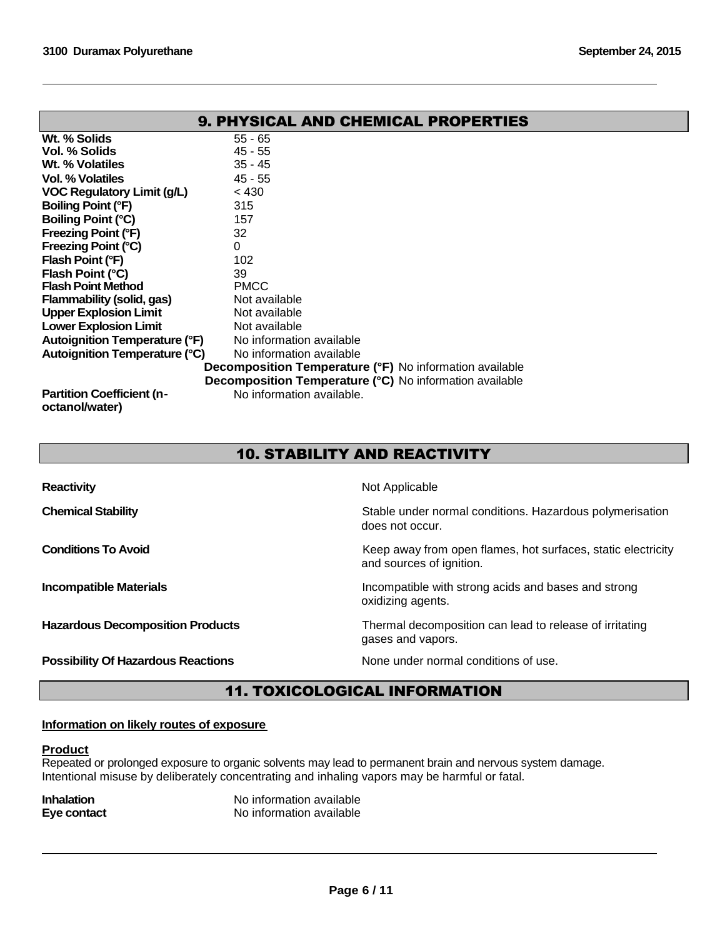| <b>9. PHYSICAL AND CHEMICAL PROPERTIES</b>                     |                           |  |
|----------------------------------------------------------------|---------------------------|--|
| Wt. % Solids                                                   | $55 - 65$                 |  |
| Vol. % Solids                                                  | $45 - 55$                 |  |
| Wt. % Volatiles                                                | $35 - 45$                 |  |
| Vol. % Volatiles                                               | $45 - 55$                 |  |
| <b>VOC Regulatory Limit (g/L)</b>                              | < 430                     |  |
| Boiling Point (°F)                                             | 315                       |  |
| Boiling Point (°C)                                             | 157                       |  |
| <b>Freezing Point (°F)</b>                                     | 32                        |  |
| Freezing Point (°C)                                            | 0                         |  |
| Flash Point (°F)                                               | 102                       |  |
| Flash Point (°C)                                               | 39                        |  |
| <b>Flash Point Method</b>                                      | <b>PMCC</b>               |  |
| <b>Flammability (solid, gas)</b>                               | Not available             |  |
| <b>Upper Explosion Limit</b>                                   | Not available             |  |
| <b>Lower Explosion Limit</b>                                   | Not available             |  |
| <b>Autoignition Temperature (°F)</b>                           | No information available  |  |
| <b>Autoignition Temperature (°C)</b>                           | No information available  |  |
| <b>Decomposition Temperature (°F)</b> No information available |                           |  |
| <b>Decomposition Temperature (°C)</b> No information available |                           |  |
| <b>Partition Coefficient (n-</b><br>octanol/water)             | No information available. |  |

## 10. STABILITY AND REACTIVITY

| <b>Reactivity</b>                         | Not Applicable                                                                           |
|-------------------------------------------|------------------------------------------------------------------------------------------|
| <b>Chemical Stability</b>                 | Stable under normal conditions. Hazardous polymerisation<br>does not occur.              |
| <b>Conditions To Avoid</b>                | Keep away from open flames, hot surfaces, static electricity<br>and sources of ignition. |
| <b>Incompatible Materials</b>             | Incompatible with strong acids and bases and strong<br>oxidizing agents.                 |
| <b>Hazardous Decomposition Products</b>   | Thermal decomposition can lead to release of irritating<br>gases and vapors.             |
| <b>Possibility Of Hazardous Reactions</b> | None under normal conditions of use.                                                     |

## 11. TOXICOLOGICAL INFORMATION

#### **Information on likely routes of exposure**

### **Product**

Repeated or prolonged exposure to organic solvents may lead to permanent brain and nervous system damage. Intentional misuse by deliberately concentrating and inhaling vapors may be harmful or fatal.

| <b>Inhalation</b> | No information available |
|-------------------|--------------------------|
| Eye contact       | No information available |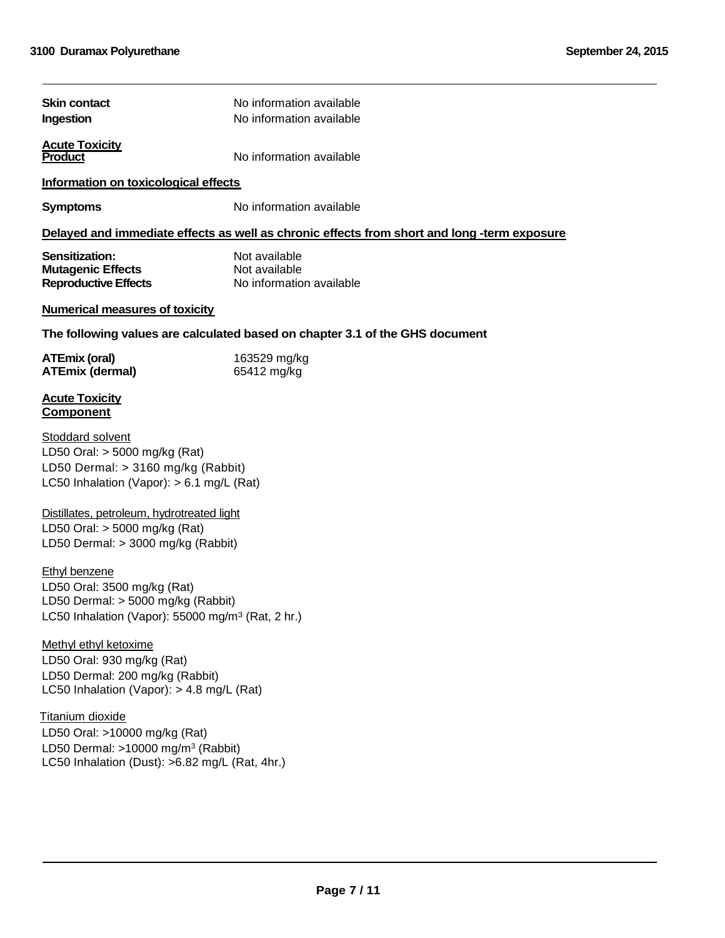| <b>Skin contact</b><br>Ingestion                                                                                                                           | No information available<br>No information available                                        |  |  |
|------------------------------------------------------------------------------------------------------------------------------------------------------------|---------------------------------------------------------------------------------------------|--|--|
| <b>Acute Toxicity</b><br>No information available<br><b>Product</b>                                                                                        |                                                                                             |  |  |
| Information on toxicological effects                                                                                                                       |                                                                                             |  |  |
| <b>Symptoms</b>                                                                                                                                            | No information available                                                                    |  |  |
|                                                                                                                                                            | Delayed and immediate effects as well as chronic effects from short and long -term exposure |  |  |
| Sensitization:<br><b>Mutagenic Effects</b><br><b>Reproductive Effects</b>                                                                                  | Not available<br>Not available<br>No information available                                  |  |  |
| <b>Numerical measures of toxicity</b>                                                                                                                      |                                                                                             |  |  |
|                                                                                                                                                            | The following values are calculated based on chapter 3.1 of the GHS document                |  |  |
| <b>ATEmix (oral)</b><br><b>ATEmix (dermal)</b>                                                                                                             | 163529 mg/kg<br>65412 mg/kg                                                                 |  |  |
| <b>Acute Toxicity</b><br><b>Component</b>                                                                                                                  |                                                                                             |  |  |
| Stoddard solvent<br>LD50 Oral: > 5000 mg/kg (Rat)<br>LD50 Dermal: > 3160 mg/kg (Rabbit)<br>LC50 Inhalation (Vapor): $> 6.1$ mg/L (Rat)                     |                                                                                             |  |  |
| Distillates, petroleum, hydrotreated light<br>LD50 Oral: > 5000 mg/kg (Rat)<br>LD50 Dermal: > 3000 mg/kg (Rabbit)                                          |                                                                                             |  |  |
| <b>Ethyl benzene</b><br>LD50 Oral: 3500 mg/kg (Rat)<br>LD50 Dermal: > 5000 mg/kg (Rabbit)<br>LC50 Inhalation (Vapor): 55000 mg/m <sup>3</sup> (Rat, 2 hr.) |                                                                                             |  |  |
| Methyl ethyl ketoxime<br>LD50 Oral: 930 mg/kg (Rat)<br>LD50 Dermal: 200 mg/kg (Rabbit)<br>LC50 Inhalation (Vapor): > 4.8 mg/L (Rat)                        |                                                                                             |  |  |
| Titanium dioxide<br>LD50 Oral: >10000 mg/kg (Rat)<br>LD50 Dermal: $>10000$ mg/m <sup>3</sup> (Rabbit)<br>LC50 Inhalation (Dust): >6.82 mg/L (Rat, 4hr.)    |                                                                                             |  |  |
|                                                                                                                                                            |                                                                                             |  |  |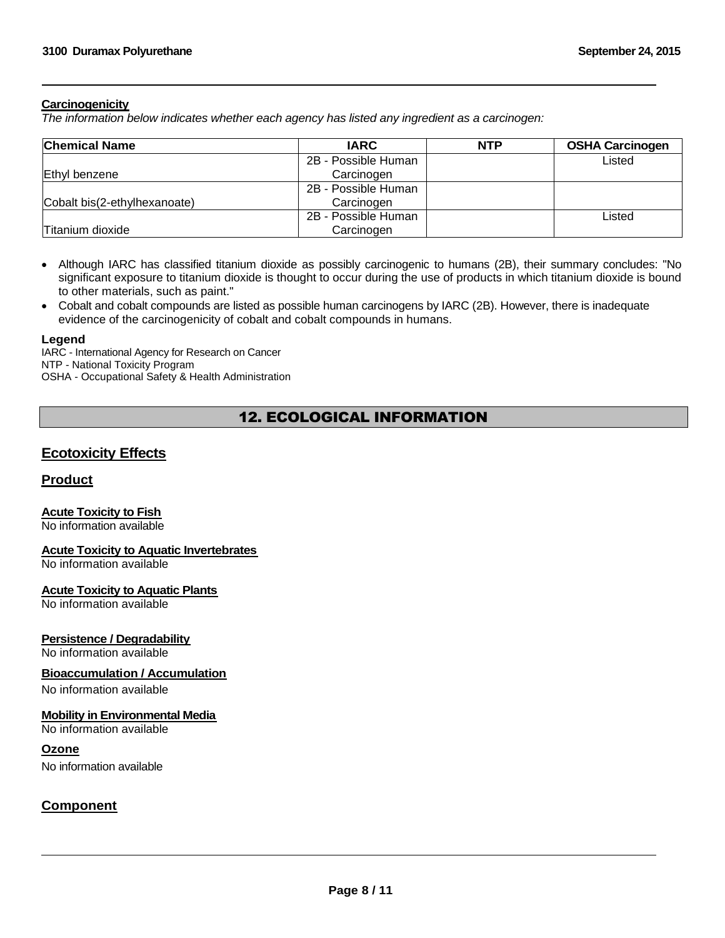#### **Carcinogenicity**

*The information below indicates whether each agency has listed any ingredient as a carcinogen:*

| <b>Chemical Name</b>         | <b>IARC</b>         | <b>NTP</b> | <b>OSHA Carcinogen</b> |
|------------------------------|---------------------|------------|------------------------|
|                              | 2B - Possible Human |            | Listed                 |
| Ethyl benzene                | Carcinogen          |            |                        |
|                              | 2B - Possible Human |            |                        |
| Cobalt bis(2-ethylhexanoate) | Carcinogen          |            |                        |
|                              | 2B - Possible Human |            | Listed                 |
| Titanium dioxide             | Carcinogen          |            |                        |

- Although IARC has classified titanium dioxide as possibly carcinogenic to humans (2B), their summary concludes: "No significant exposure to titanium dioxide is thought to occur during the use of products in which titanium dioxide is bound to other materials, such as paint."
- Cobalt and cobalt compounds are listed as possible human carcinogens by IARC (2B). However, there is inadequate evidence of the carcinogenicity of cobalt and cobalt compounds in humans.

#### **Legend**

IARC - International Agency for Research on Cancer NTP - National Toxicity Program OSHA - Occupational Safety & Health Administration

## 12. ECOLOGICAL INFORMATION

### **Ecotoxicity Effects**

#### **Product**

### **Acute Toxicity to Fish**

No information available

#### **Acute Toxicity to Aquatic Invertebrates**

No information available

#### **Acute Toxicity to Aquatic Plants**

No information available

#### **Persistence / Degradability**

No information available

#### **Bioaccumulation / Accumulation**

No information available

#### **Mobility in Environmental Media**

No information available

#### **Ozone**

No information available

### **Component**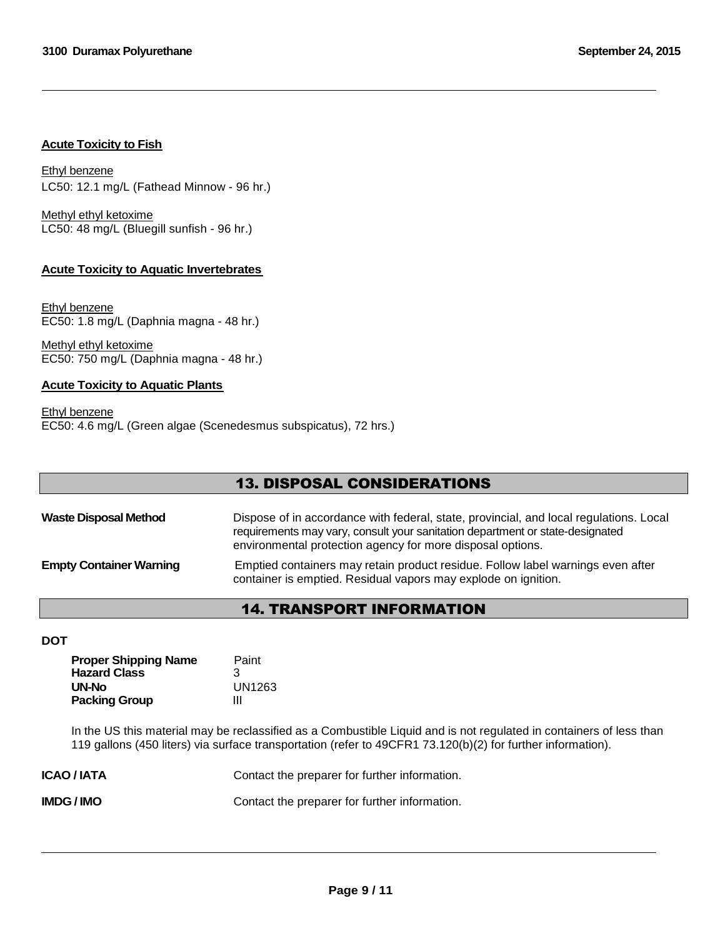#### **Acute Toxicity to Fish**

Ethyl benzene LC50: 12.1 mg/L (Fathead Minnow - 96 hr.)

Methyl ethyl ketoxime LC50: 48 mg/L (Bluegill sunfish - 96 hr.)

### **Acute Toxicity to Aquatic Invertebrates**

Ethyl benzene EC50: 1.8 mg/L (Daphnia magna - 48 hr.)

Methyl ethyl ketoxime EC50: 750 mg/L (Daphnia magna - 48 hr.)

#### **Acute Toxicity to Aquatic Plants**

Ethyl benzene EC50: 4.6 mg/L (Green algae (Scenedesmus subspicatus), 72 hrs.)

## 13. DISPOSAL CONSIDERATIONS

| <b>Waste Disposal Method</b>   | Dispose of in accordance with federal, state, provincial, and local regulations. Local<br>requirements may vary, consult your sanitation department or state-designated<br>environmental protection agency for more disposal options. |
|--------------------------------|---------------------------------------------------------------------------------------------------------------------------------------------------------------------------------------------------------------------------------------|
| <b>Empty Container Warning</b> | Emptied containers may retain product residue. Follow label warnings even after<br>container is emptied. Residual vapors may explode on ignition.                                                                                     |

## 14. TRANSPORT INFORMATION

### **DOT**

| <b>Proper Shipping Name</b><br><b>Hazard Class</b> | Paint<br>З |
|----------------------------------------------------|------------|
| UN-No                                              | UN1263     |
| <b>Packing Group</b>                               | Ш          |

In the US this material may be reclassified as a Combustible Liquid and is not regulated in containers of less than 119 gallons (450 liters) via surface transportation (refer to 49CFR1 73.120(b)(2) for further information).

| <b>ICAO/IATA</b> | Contact the preparer for further information. |
|------------------|-----------------------------------------------|
| IMDG / IMO       | Contact the preparer for further information. |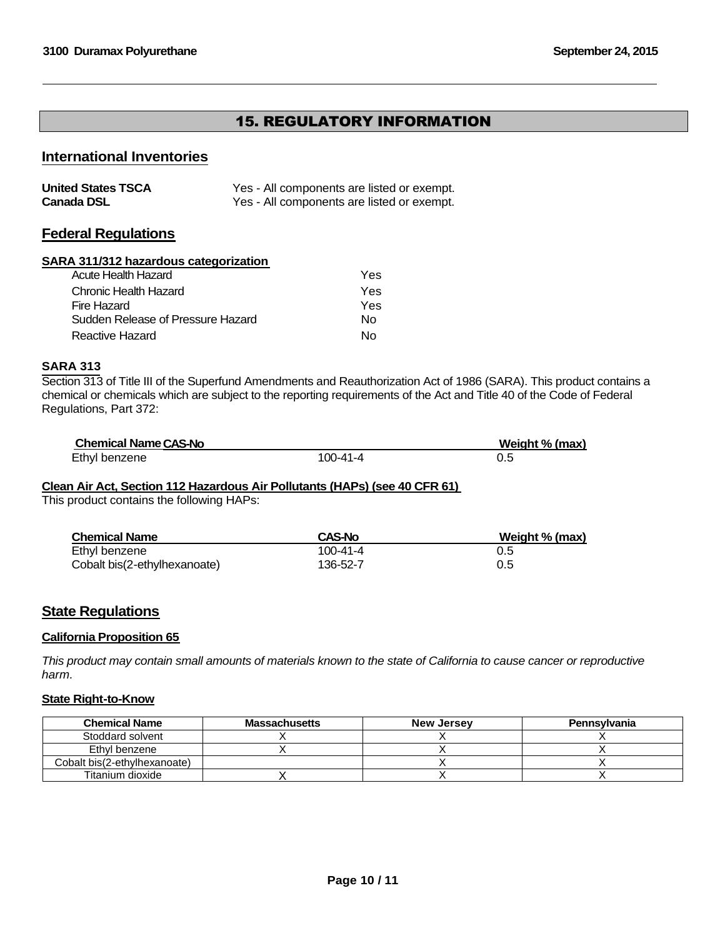## 15. REGULATORY INFORMATION

## **International Inventories**

| <b>United States TSCA</b> | Yes - All components are listed or exempt. |
|---------------------------|--------------------------------------------|
| <b>Canada DSL</b>         | Yes - All components are listed or exempt. |

### **Federal Regulations**

#### **SARA 311/312 hazardous categorization**

| Acute Health Hazard               | Yes |
|-----------------------------------|-----|
| Chronic Health Hazard             | Yes |
| Fire Hazard                       | Yes |
| Sudden Release of Pressure Hazard | N٥  |
| Reactive Hazard                   | N٥  |

#### **SARA 313**

Section 313 of Title III of the Superfund Amendments and Reauthorization Act of 1986 (SARA). This product contains a chemical or chemicals which are subject to the reporting requirements of the Act and Title 40 of the Code of Federal Regulations, Part 372:

| <b>Chemical Name CAS-No</b> |          | Weight % (max) |
|-----------------------------|----------|----------------|
| Ethyl benzene               | 100-41-4 |                |

#### **Clean Air Act, Section 112 Hazardous Air Pollutants (HAPs) (see 40 CFR 61)**

This product contains the following HAPs:

| <b>Chemical Name</b>         | <b>CAS-No</b> | Weight % (max) |
|------------------------------|---------------|----------------|
| Ethyl benzene                | 100-41-4      | 0.5            |
| Cobalt bis(2-ethylhexanoate) | 136-52-7      | 0.5            |

## **State Regulations**

#### **California Proposition 65**

*This product may contain small amounts of materials known to the state of California to cause cancer or reproductive harm.*

#### **State Right-to-Know**

| <b>Chemical Name</b>         | Massachusetts | <b>New Jersey</b> | <b>Pennsylvania</b> |
|------------------------------|---------------|-------------------|---------------------|
| Stoddard solvent             |               |                   |                     |
| Ethyl benzene                |               |                   |                     |
| Cobalt bis(2-ethylhexanoate) |               |                   |                     |
| Titanium dioxide             |               |                   |                     |